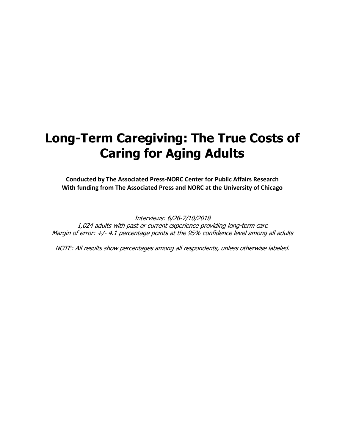# **Long-Term Caregiving: The True Costs of Caring for Aging Adults**

**Conducted by The Associated Press-NORC Center for Public Affairs Research With funding from The Associated Press and NORC at the University of Chicago**

Interviews: 6/26-7/10/2018 1,024 adults with past or current experience providing long-term care Margin of error: +/- 4.1 percentage points at the 95% confidence level among all adults

NOTE: All results show percentages among all respondents, unless otherwise labeled.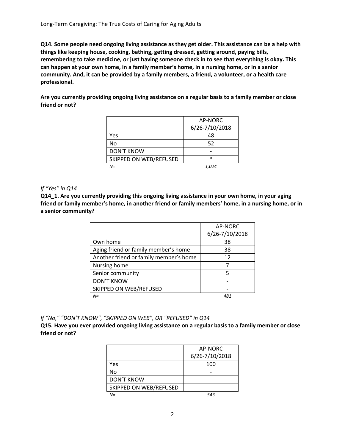**Q14. Some people need ongoing living assistance as they get older. This assistance can be a help with things like keeping house, cooking, bathing, getting dressed, getting around, paying bills, remembering to take medicine, or just having someone check in to see that everything is okay. This can happen at your own home, in a family member's home, in a nursing home, or in a senior community. And, it can be provided by a family members, a friend, a volunteer, or a health care professional.** 

**Are you currently providing ongoing living assistance on a regular basis to a family member or close friend or not?**

|                        | AP-NORC        |
|------------------------|----------------|
|                        | 6/26-7/10/2018 |
| Yes                    | 48             |
| No                     | 52             |
| <b>DON'T KNOW</b>      |                |
| SKIPPED ON WEB/REFUSED | $\ast$         |
| N=                     | 1.024          |

#### *If "Yes" in Q14*

**Q14\_1. Are you currently providing this ongoing living assistance in your own home, in your aging friend or family member's home, in another friend or family members' home, in a nursing home, or in a senior community?**

|                                        | AP-NORC        |
|----------------------------------------|----------------|
|                                        | 6/26-7/10/2018 |
| Own home                               | 38             |
| Aging friend or family member's home   | 38             |
| Another friend or family member's home | 12             |
| Nursing home                           |                |
| Senior community                       | 5              |
| <b>DON'T KNOW</b>                      |                |
| SKIPPED ON WEB/REFUSED                 |                |
| $N =$                                  | 481            |

*If "No," "DON'T KNOW", "SKIPPED ON WEB", OR "REFUSED" in Q14*

**Q15. Have you ever provided ongoing living assistance on a regular basis to a family member or close friend or not?**

|                        | AP-NORC        |  |  |  |
|------------------------|----------------|--|--|--|
|                        | 6/26-7/10/2018 |  |  |  |
| Yes                    | 100            |  |  |  |
| No                     |                |  |  |  |
| <b>DON'T KNOW</b>      |                |  |  |  |
| SKIPPED ON WEB/REFUSED |                |  |  |  |
| $N =$                  | 543            |  |  |  |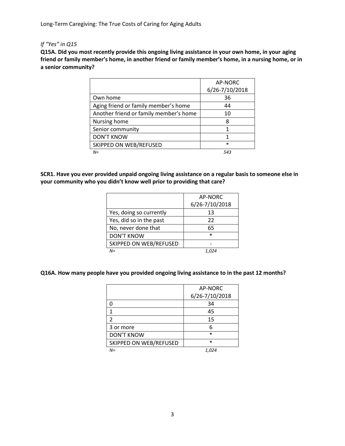Long-Term Caregiving: The True Costs of Caring for Aging Adults

## *If "Yes" in Q15*

**Q15A. Did you most recently provide this ongoing living assistance in your own home, in your aging friend or family member's home, in another friend or family member's home, in a nursing home, or in a senior community?**

|                                        | AP-NORC        |
|----------------------------------------|----------------|
|                                        | 6/26-7/10/2018 |
| Own home                               | 36             |
| Aging friend or family member's home   | 44             |
| Another friend or family member's home | 10             |
| Nursing home                           | 8              |
| Senior community                       | 1              |
| <b>DON'T KNOW</b>                      |                |
| SKIPPED ON WEB/REFUSED                 | $\ast$         |
| $N =$                                  | 543            |

**SCR1. Have you ever provided unpaid ongoing living assistance on a regular basis to someone else in your community who you didn't know well prior to providing that care?**

|                         | AP-NORC        |  |  |
|-------------------------|----------------|--|--|
|                         | 6/26-7/10/2018 |  |  |
| Yes, doing so currently | 13             |  |  |
| Yes, did so in the past | 22             |  |  |
| No, never done that     | 65             |  |  |
| <b>DON'T KNOW</b>       | $\ast$         |  |  |
| SKIPPED ON WEB/REFUSED  |                |  |  |
| $N =$                   |                |  |  |

#### **Q16A. How many people have you provided ongoing living assistance to in the past 12 months?**

|                        | AP-NORC        |
|------------------------|----------------|
|                        | 6/26-7/10/2018 |
|                        | 34             |
|                        | 45             |
| $\mathfrak z$          | 15             |
| 3 or more              | 6              |
| <b>DON'T KNOW</b>      | $\ast$         |
| SKIPPED ON WEB/REFUSED | $\ast$         |
| $N =$                  | 1,024          |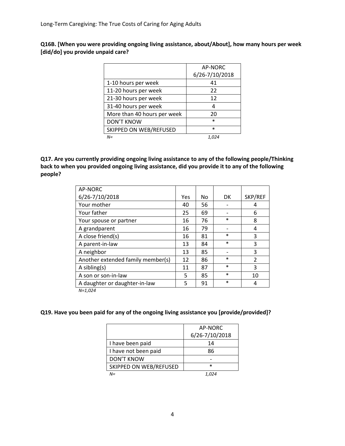**Q16B. [When you were providing ongoing living assistance, about/About], how many hours per week [did/do] you provide unpaid care?**

|                             | AP-NORC        |
|-----------------------------|----------------|
|                             | 6/26-7/10/2018 |
| 1-10 hours per week         | 41             |
| 11-20 hours per week        | 22             |
| 21-30 hours per week        | 12             |
| 31-40 hours per week        | 4              |
| More than 40 hours per week | 20             |
| <b>DON'T KNOW</b>           | $\ast$         |
| SKIPPED ON WEB/REFUSED      | $\ast$         |
| $N =$                       | 1.024          |

**Q17. Are you currently providing ongoing living assistance to any of the following people/Thinking back to when you provided ongoing living assistance, did you provide it to any of the following people?**

| AP-NORC                           |     |    |        |                          |
|-----------------------------------|-----|----|--------|--------------------------|
| 6/26-7/10/2018                    | Yes | No | DK     | SKP/REF                  |
| Your mother                       | 40  | 56 |        | 4                        |
| Your father                       | 25  | 69 |        | 6                        |
| Your spouse or partner            | 16  | 76 | $\ast$ | 8                        |
| A grandparent                     | 16  | 79 |        | 4                        |
| A close friend(s)                 | 16  | 81 | $\ast$ | 3                        |
| A parent-in-law                   | 13  | 84 | $\ast$ | 3                        |
| A neighbor                        | 13  | 85 |        | 3                        |
| Another extended family member(s) | 12  | 86 | $\ast$ | $\overline{\mathcal{L}}$ |
| $A$ sibling(s)                    | 11  | 87 | $\ast$ | 3                        |
| A son or son-in-law               | 5   | 85 | $\ast$ | 10                       |
| A daughter or daughter-in-law     | 5   | 91 | $\ast$ | 4                        |
| $N = 1.024$                       |     |    |        |                          |

**Q19. Have you been paid for any of the ongoing living assistance you [provide/provided]?**

|                        | AP-NORC        |
|------------------------|----------------|
|                        | 6/26-7/10/2018 |
| I have been paid       | 14             |
| I have not been paid   | 86             |
| <b>DON'T KNOW</b>      |                |
| SKIPPED ON WEB/REFUSED | $\ast$         |
| $N =$                  |                |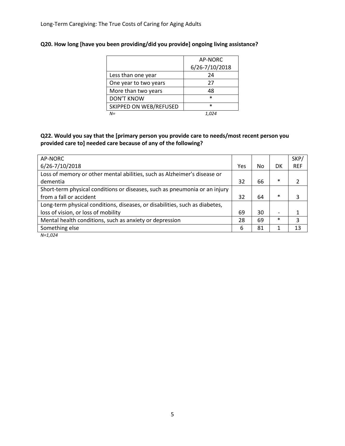|                        | AP-NORC        |  |  |  |
|------------------------|----------------|--|--|--|
|                        | 6/26-7/10/2018 |  |  |  |
| Less than one year     | 24             |  |  |  |
| One year to two years  | 27             |  |  |  |
| More than two years    | 48             |  |  |  |
| <b>DON'T KNOW</b>      | *              |  |  |  |
| SKIPPED ON WEB/REFUSED | $\ast$         |  |  |  |
| NΞ                     |                |  |  |  |

# **Q20. How long [have you been providing/did you provide] ongoing living assistance?**

## **Q22. Would you say that the [primary person you provide care to needs/most recent person you provided care to] needed care because of any of the following?**

| AP-NORC                                                                     |     |     |                          | SKP/       |
|-----------------------------------------------------------------------------|-----|-----|--------------------------|------------|
| 6/26-7/10/2018                                                              | Yes | No. | DK                       | <b>REF</b> |
| Loss of memory or other mental abilities, such as Alzheimer's disease or    |     |     |                          |            |
| dementia                                                                    | 32  | 66  | $\ast$                   |            |
| Short-term physical conditions or diseases, such as pneumonia or an injury  |     |     |                          |            |
| from a fall or accident                                                     | 32  | 64  | $\ast$                   | 3          |
| Long-term physical conditions, diseases, or disabilities, such as diabetes, |     |     |                          |            |
| loss of vision, or loss of mobility                                         | 69  | 30  | $\overline{\phantom{0}}$ |            |
| Mental health conditions, such as anxiety or depression                     | 28  | 69  | $\ast$                   | 3          |
| Something else                                                              | 6   | 81  |                          | 13         |
| $N = 1.024$                                                                 |     |     |                          |            |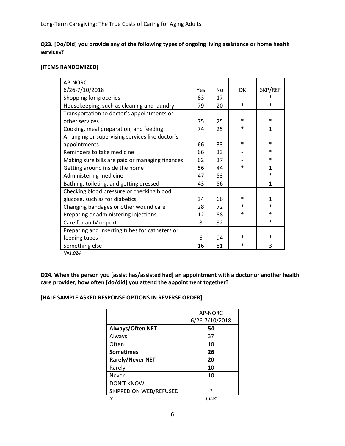## **Q23. [Do/Did] you provide any of the following types of ongoing living assistance or home health services?**

## **[ITEMS RANDOMIZED]**

| AP-NORC                                         |     |     |                              |              |
|-------------------------------------------------|-----|-----|------------------------------|--------------|
| 6/26-7/10/2018                                  | Yes | No. | DK                           | SKP/REF      |
| Shopping for groceries                          | 83  | 17  |                              | $\ast$       |
| Housekeeping, such as cleaning and laundry      | 79  | 20  | $\ast$                       | $\ast$       |
| Transportation to doctor's appointments or      |     |     |                              |              |
| other services                                  | 75  | 25  | $\ast$                       | $\ast$       |
| Cooking, meal preparation, and feeding          | 74  | 25  | $\ast$                       | 1            |
| Arranging or supervising services like doctor's |     |     |                              |              |
| appointments                                    | 66  | 33  | ∗                            | $\ast$       |
| Reminders to take medicine                      | 66  | 33  |                              | $\ast$       |
| Making sure bills are paid or managing finances | 62  | 37  |                              | $\ast$       |
| Getting around inside the home                  | 56  | 44  | $\ast$                       | 1            |
| Administering medicine                          | 47  | 53  | $\qquad \qquad \blacksquare$ | $\ast$       |
| Bathing, toileting, and getting dressed         | 43  | 56  |                              | $\mathbf{1}$ |
| Checking blood pressure or checking blood       |     |     |                              |              |
| glucose, such as for diabetics                  | 34  | 66  | $\ast$                       | 1            |
| Changing bandages or other wound care           | 28  | 72  | $\ast$                       | $\ast$       |
| Preparing or administering injections           | 12  | 88  | $\ast$                       | $\ast$       |
| Care for an IV or port                          | 8   | 92  | $\overline{\phantom{0}}$     | $\ast$       |
| Preparing and inserting tubes for catheters or  |     |     |                              |              |
| feeding tubes                                   | 6   | 94  | *                            | $\ast$       |
| Something else                                  | 16  | 81  | $\ast$                       | 3            |
|                                                 |     |     |                              |              |

*N=1,024*

**Q24. When the person you [assist has/assisted had] an appointment with a doctor or another health care provider, how often [do/did] you attend the appointment together?**

## **[HALF SAMPLE ASKED RESPONSE OPTIONS IN REVERSE ORDER]**

|                         | AP-NORC        |
|-------------------------|----------------|
|                         | 6/26-7/10/2018 |
| Always/Often NET        | 54             |
| Always                  | 37             |
| Often                   | 18             |
| <b>Sometimes</b>        | 26             |
| <b>Rarely/Never NET</b> | 20             |
| Rarely                  | 10             |
| Never                   | 10             |
| <b>DON'T KNOW</b>       |                |
| SKIPPED ON WEB/REFUSED  | $\ast$         |
| N=                      | 1,024          |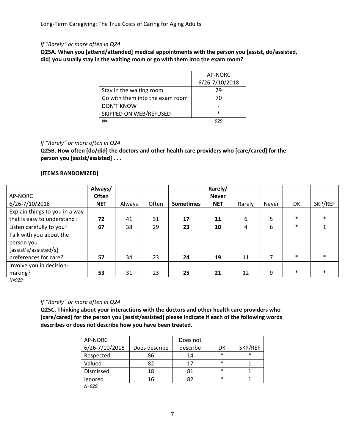## *If "Rarely" or more often in Q24*

**Q25A. When you [attend/attended] medical appointments with the person you [assist, do/assisted, did] you usually stay in the waiting room or go with them into the exam room?**

|                                 | AP-NORC        |
|---------------------------------|----------------|
|                                 | 6/26-7/10/2018 |
| Stay in the waiting room        | 29             |
| Go with them into the exam room | 70             |
| <b>DON'T KNOW</b>               |                |
| SKIPPED ON WEB/REFUSED          | $\ast$         |
| N=                              |                |

#### *If "Rarely" or more often in Q24*

**Q25B. How often [do/did] the doctors and other health care providers who [care/cared] for the person you [assist/assisted] . . .** 

#### **[ITEMS RANDOMIZED]**

|                                | Always/      |        |       |                  | Rarely/      |        |       |        |         |
|--------------------------------|--------------|--------|-------|------------------|--------------|--------|-------|--------|---------|
| AP-NORC                        | <b>Often</b> |        |       |                  | <b>Never</b> |        |       |        |         |
| 6/26-7/10/2018                 | <b>NET</b>   | Always | Often | <b>Sometimes</b> | <b>NET</b>   | Rarely | Never | DK     | SKP/REF |
| Explain things to you in a way |              |        |       |                  |              |        |       |        |         |
| that is easy to understand?    | 72           | 41     | 31    | 17               | 11           | 6      | 5     | $\ast$ | $\ast$  |
| Listen carefully to you?       | 67           | 38     | 29    | 23               | 10           | 4      | 6     | $\ast$ |         |
| Talk with you about the        |              |        |       |                  |              |        |       |        |         |
| person you                     |              |        |       |                  |              |        |       |        |         |
| [assist's/assisted/s]          |              |        |       |                  |              |        |       |        |         |
| preferences for care?          | 57           | 34     | 23    | 24               | 19           | 11     |       | $\ast$ | $\ast$  |
| Involve you in decision-       |              |        |       |                  |              |        |       |        |         |
| making?                        | 53           | 31     | 23    | 25               | 21           | 12     | 9     | $\ast$ | $\ast$  |

*N=929*

#### *If "Rarely" or more often in Q24*

**Q25C. Thinking about your interactions with the doctors and other health care providers who [care/cared] for the person you [assist/assisted] please indicate if each of the following words describes or does not describe how you have been treated.** 

| AP-NORC        |               | Does not |        |         |
|----------------|---------------|----------|--------|---------|
| 6/26-7/10/2018 | Does describe | describe | DK     | SKP/REF |
| Respected      | 86            | 14       | $\ast$ | $\ast$  |
| Valued         | 82            | 17       | $\ast$ |         |
| Dismissed      | 18            | 81       | $\ast$ |         |
| Ignored        | 16            | 82       | $\ast$ |         |

*N=929*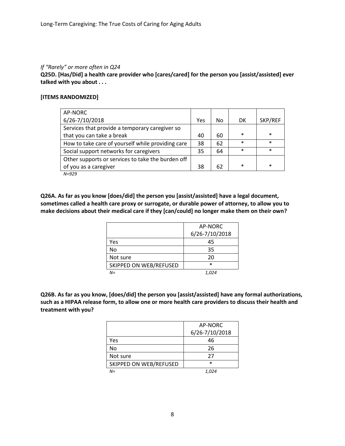#### *If "Rarely" or more often in Q24*

**Q25D. [Has/Did] a health care provider who [cares/cared] for the person you [assist/assisted] ever talked with you about . . .** 

## **[ITEMS RANDOMIZED]**

| AP-NORC                                           |     |    |           |         |
|---------------------------------------------------|-----|----|-----------|---------|
| 6/26-7/10/2018                                    | Yes | No | <b>DK</b> | SKP/REF |
| Services that provide a temporary caregiver so    |     |    |           |         |
| that you can take a break                         | 40  | 60 | $\ast$    | $\ast$  |
| How to take care of yourself while providing care | 38  | 62 | $\ast$    | $\ast$  |
| Social support networks for caregivers            | 35  | 64 | $\ast$    | $\ast$  |
| Other supports or services to take the burden off |     |    |           |         |
| of you as a caregiver                             | 38  | 62 | $\ast$    | $\ast$  |
| $N - QQ$                                          |     |    |           |         |

*N=929*

**Q26A. As far as you know [does/did] the person you [assist/assisted] have a legal document, sometimes called a health care proxy or surrogate, or durable power of attorney, to allow you to make decisions about their medical care if they [can/could] no longer make them on their own?**

|                        | AP-NORC        |
|------------------------|----------------|
|                        | 6/26-7/10/2018 |
| Yes                    | 45             |
| <b>No</b>              | 35             |
| Not sure               | 20             |
| SKIPPED ON WEB/REFUSED | $\ast$         |
| $N =$                  | 1.024          |

**Q26B. As far as you know, [does/did] the person you [assist/assisted] have any formal authorizations, such as a HIPAA release form, to allow one or more health care providers to discuss their health and treatment with you?**

|                        | AP-NORC        |
|------------------------|----------------|
|                        | 6/26-7/10/2018 |
| Yes                    | 46             |
| No                     | 26             |
| Not sure               | 27             |
| SKIPPED ON WEB/REFUSED | $\ast$         |
| N=                     | 1.024          |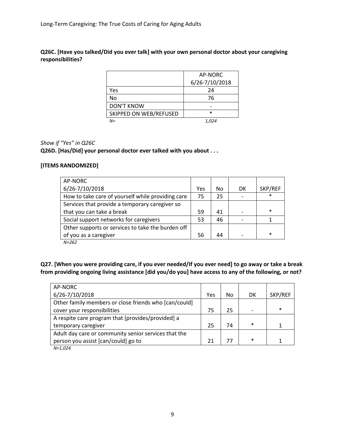**Q26C. [Have you talked/Did you ever talk] with your own personal doctor about your caregiving responsibilities?**

|                        | AP-NORC        |
|------------------------|----------------|
|                        | 6/26-7/10/2018 |
| Yes                    | 24             |
| No                     | 76             |
| <b>DON'T KNOW</b>      |                |
| SKIPPED ON WEB/REFUSED | $\ast$         |
| $N =$                  | 1.024          |

## *Show if "Yes" in Q26C*

**Q26D. [Has/Did] your personal doctor ever talked with you about . . .** 

## **[ITEMS RANDOMIZED]**

| AP-NORC                                           |     |    |    |         |
|---------------------------------------------------|-----|----|----|---------|
| 6/26-7/10/2018                                    | Yes | No | DK | SKP/REF |
| How to take care of yourself while providing care | 75  | 25 |    | $\ast$  |
| Services that provide a temporary caregiver so    |     |    |    |         |
| that you can take a break                         | 59  | 41 |    | $\ast$  |
| Social support networks for caregivers            | 53  | 46 |    |         |
| Other supports or services to take the burden off |     |    |    |         |
| of you as a caregiver                             | 56  | 44 |    | $\ast$  |

*N=262*

**Q27. [When you were providing care, if you ever needed/If you ever need] to go away or take a break from providing ongoing living assistance [did you/do you] have access to any of the following, or not?**

| AP-NORC                                               |     |    |        |         |
|-------------------------------------------------------|-----|----|--------|---------|
| 6/26-7/10/2018                                        | Yes | No | DK     | SKP/REF |
| Other family members or close friends who [can/could] |     |    |        |         |
| cover your responsibilities                           | 75  | 25 |        | $\ast$  |
| A respite care program that [provides/provided] a     |     |    |        |         |
| temporary caregiver                                   | 25  | 74 | $\ast$ |         |
| Adult day care or community senior services that the  |     |    |        |         |
| person you assist [can/could] go to                   | 21  | 77 | $\ast$ |         |
| $N-1$ 021                                             |     |    |        |         |

*N=1,024*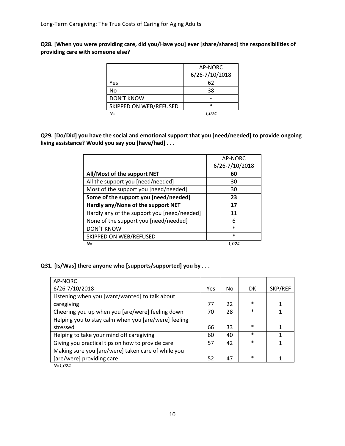**Q28. [When you were providing care, did you/Have you] ever [share/shared] the responsibilities of providing care with someone else?**

|                        | AP-NORC        |
|------------------------|----------------|
|                        | 6/26-7/10/2018 |
| Yes                    | 62             |
| No                     | 38             |
| <b>DON'T KNOW</b>      |                |
| SKIPPED ON WEB/REFUSED | $\ast$         |
| $N =$                  | 1.024          |

**Q29. [Do/Did] you have the social and emotional support that you [need/needed] to provide ongoing living assistance? Would you say you [have/had] . . .** 

|                                             | AP-NORC        |
|---------------------------------------------|----------------|
|                                             | 6/26-7/10/2018 |
| All/Most of the support NET                 | 60             |
| All the support you [need/needed]           | 30             |
| Most of the support you [need/needed]       | 30             |
| Some of the support you [need/needed]       | 23             |
| Hardly any/None of the support NET          | 17             |
| Hardly any of the support you [need/needed] | 11             |
| None of the support you [need/needed]       | 6              |
| <b>DON'T KNOW</b>                           | $\ast$         |
| SKIPPED ON WEB/REFUSED                      | $\ast$         |
| $N =$                                       | 1,024          |

**Q31. [Is/Was] there anyone who [supports/supported] you by . . .** 

| AP-NORC                                              |     |    |           |         |
|------------------------------------------------------|-----|----|-----------|---------|
| 6/26-7/10/2018                                       | Yes | No | <b>DK</b> | SKP/REF |
| Listening when you [want/wanted] to talk about       |     |    |           |         |
| caregiving                                           | 77  | 22 | $\ast$    |         |
| Cheering you up when you [are/were] feeling down     | 70  | 28 | $\ast$    |         |
| Helping you to stay calm when you [are/were] feeling |     |    |           |         |
| stressed                                             | 66  | 33 | $\ast$    |         |
| Helping to take your mind off caregiving             | 60  | 40 | *         |         |
| Giving you practical tips on how to provide care     | 57  | 42 | $\ast$    |         |
| Making sure you [are/were] taken care of while you   |     |    |           |         |
| [are/were] providing care                            | 52  | 47 | $\ast$    |         |
| $\cdots$                                             |     |    |           |         |

*N=1,024*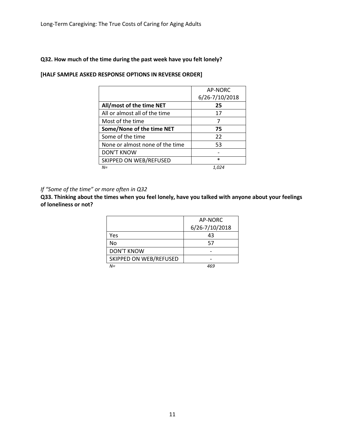## **Q32. How much of the time during the past week have you felt lonely?**

|                                 | AP-NORC<br>6/26-7/10/2018 |
|---------------------------------|---------------------------|
| All/most of the time NET        | 25                        |
| All or almost all of the time   | 17                        |
| Most of the time                | 7                         |
| Some/None of the time NET       | 75                        |
| Some of the time                | 22                        |
| None or almost none of the time | 53                        |
| <b>DON'T KNOW</b>               |                           |
| SKIPPED ON WEB/REFUSED          | $\ast$                    |
| $N =$                           | 1,024                     |

## **[HALF SAMPLE ASKED RESPONSE OPTIONS IN REVERSE ORDER]**

## *If "Some of the time" or more often in Q32*

**Q33. Thinking about the times when you feel lonely, have you talked with anyone about your feelings of loneliness or not?**

|                        | AP-NORC        |
|------------------------|----------------|
|                        | 6/26-7/10/2018 |
| Yes                    | 43             |
| No                     | 57             |
| <b>DON'T KNOW</b>      |                |
| SKIPPED ON WEB/REFUSED |                |
| $N =$                  |                |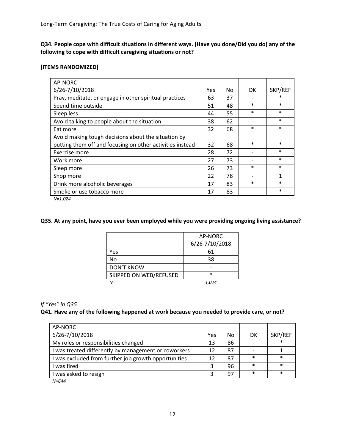**Q34. People cope with difficult situations in different ways. [Have you done/Did you do] any of the following to cope with difficult caregiving situations or not?**

## **[ITEMS RANDOMIZED]**

| AP-NORC                                                   |     |    |        |         |
|-----------------------------------------------------------|-----|----|--------|---------|
| 6/26-7/10/2018                                            | Yes | No | DK     | SKP/REF |
| Pray, meditate, or engage in other spiritual practices    | 63  | 37 |        | $\ast$  |
| Spend time outside                                        | 51  | 48 | *      | $\ast$  |
| Sleep less                                                | 44  | 55 | $\ast$ | $\ast$  |
| Avoid talking to people about the situation               | 38  | 62 |        | $\ast$  |
| Eat more                                                  | 32  | 68 | *      | $\ast$  |
| Avoid making tough decisions about the situation by       |     |    |        |         |
| putting them off and focusing on other activities instead | 32  | 68 | *      | $\ast$  |
| Exercise more                                             | 28  | 72 |        | $\ast$  |
| Work more                                                 | 27  | 73 |        | $\ast$  |
| Sleep more                                                | 26  | 73 | $\ast$ | $\ast$  |
| Shop more                                                 | 22  | 78 |        | 1       |
| Drink more alcoholic beverages                            | 17  | 83 | $\ast$ | $\ast$  |
| Smoke or use tobacco more                                 | 17  | 83 |        | $\ast$  |
|                                                           |     |    |        |         |

*N=1,024*

## **Q35. At any point, have you ever been employed while you were providing ongoing living assistance?**

|                        | AP-NORC        |
|------------------------|----------------|
|                        | 6/26-7/10/2018 |
| Yes                    | 61             |
| No                     | 38             |
| <b>DON'T KNOW</b>      |                |
| SKIPPED ON WEB/REFUSED | $\ast$         |
| $N =$                  | 1,024          |

## *If "Yes" in Q35*

#### **Q41. Have any of the following happened at work because you needed to provide care, or not?**

| AP-NORC                                              |     |    |        |         |
|------------------------------------------------------|-----|----|--------|---------|
| 6/26-7/10/2018                                       | Yes | No | DK     | SKP/REF |
| My roles or responsibilities changed                 | 13  | 86 |        | $\ast$  |
| I was treated differently by management or coworkers | 12  | 87 |        |         |
| I was excluded from further job growth opportunities | 12  | 87 | $\ast$ | $\ast$  |
| I was fired                                          | 3   | 96 | $\ast$ | $\ast$  |
| I was asked to resign                                | 2   | 97 | $\ast$ | $\ast$  |

*N=644*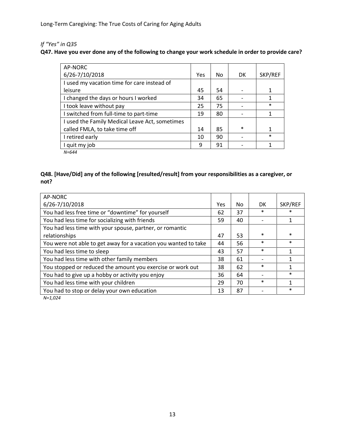# *If "Yes" in Q35*

## **Q47. Have you ever done any of the following to change your work schedule in order to provide care?**

| AP-NORC                                        |     |    |        |         |
|------------------------------------------------|-----|----|--------|---------|
| 6/26-7/10/2018                                 | Yes | No | DK     | SKP/REF |
| I used my vacation time for care instead of    |     |    |        |         |
| leisure                                        | 45  | 54 |        | 1       |
| I changed the days or hours I worked           | 34  | 65 |        | 1       |
| I took leave without pay                       | 25  | 75 |        | $\ast$  |
| I switched from full-time to part-time         | 19  | 80 |        | 1       |
| I used the Family Medical Leave Act, sometimes |     |    |        |         |
| called FMLA, to take time off                  | 14  | 85 | $\ast$ | 1       |
| I retired early                                | 10  | 90 |        | $\ast$  |
| I quit my job                                  | 9   | 91 |        | 1       |
|                                                |     |    |        |         |

*N=644*

## **Q48. [Have/Did] any of the following [resulted/result] from your responsibilities as a caregiver, or not?**

| AP-NORC                                                         |     |    |        |         |
|-----------------------------------------------------------------|-----|----|--------|---------|
| 6/26-7/10/2018                                                  | Yes | No | DK.    | SKP/REF |
| You had less free time or "downtime" for yourself               | 62  | 37 | $\ast$ |         |
| You had less time for socializing with friends                  | 59  | 40 |        |         |
| You had less time with your spouse, partner, or romantic        |     |    |        |         |
| relationships                                                   | 47  | 53 | $\ast$ | $\ast$  |
| You were not able to get away for a vacation you wanted to take | 44  | 56 | $\ast$ | $\ast$  |
| You had less time to sleep                                      | 43  | 57 | $\ast$ |         |
| You had less time with other family members                     | 38  | 61 |        |         |
| You stopped or reduced the amount you exercise or work out      | 38  | 62 | $\ast$ |         |
| You had to give up a hobby or activity you enjoy                | 36  | 64 |        | $\ast$  |
| You had less time with your children                            | 29  | 70 | $\ast$ |         |
| You had to stop or delay your own education                     | 13  | 87 |        | $\ast$  |

*N=1,024*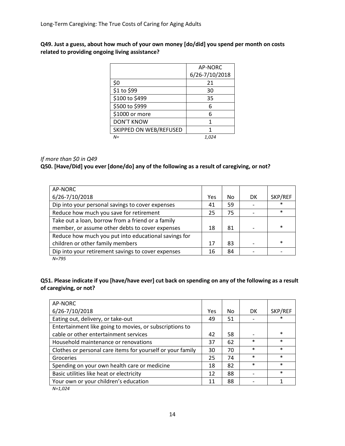## **Q49. Just a guess, about how much of your own money [do/did] you spend per month on costs related to providing ongoing living assistance?**

|                        | <b>AP-NORC</b> |
|------------------------|----------------|
|                        | 6/26-7/10/2018 |
| \$0                    | 21             |
| \$1 to \$99            | 30             |
| \$100 to \$499         | 35             |
| \$500 to \$999         | 6              |
| \$1000 or more         | 6              |
| <b>DON'T KNOW</b>      | 1              |
| SKIPPED ON WEB/REFUSED | 1              |
| $N =$                  | 1.024          |

## *If more than \$0 in Q49*

## **Q50. [Have/Did] you ever [done/do] any of the following as a result of caregiving, or not?**

| AP-NORC                                              |            |     |           |         |
|------------------------------------------------------|------------|-----|-----------|---------|
| 6/26-7/10/2018                                       | <b>Yes</b> | No. | <b>DK</b> | SKP/REF |
| Dip into your personal savings to cover expenses     | 41         | 59  |           | $\ast$  |
| Reduce how much you save for retirement              | 25         | 75  |           | $\ast$  |
| Take out a loan, borrow from a friend or a family    |            |     |           |         |
| member, or assume other debts to cover expenses      | 18         | 81  |           | $\ast$  |
| Reduce how much you put into educational savings for |            |     |           |         |
| children or other family members                     | 17         | 83  |           | $\ast$  |
| Dip into your retirement savings to cover expenses   | 16         | 84  |           |         |
| $N = 795$                                            |            |     |           |         |

## **Q51. Please indicate if you [have/have ever] cut back on spending on any of the following as a result of caregiving, or not?**

| Yes | <b>DK</b>                                    | SKP/REF                                            |
|-----|----------------------------------------------|----------------------------------------------------|
|     |                                              | $\ast$                                             |
|     |                                              |                                                    |
|     |                                              | $\ast$                                             |
|     | $\ast$                                       | $\ast$                                             |
|     | $\ast$                                       | $\ast$                                             |
|     | $\ast$                                       | $\ast$                                             |
|     | $\ast$                                       | $\ast$                                             |
|     |                                              | $\ast$                                             |
|     |                                              |                                                    |
|     | 49<br>42<br>37<br>30<br>25<br>18<br>12<br>11 | No<br>51<br>58<br>62<br>70<br>74<br>82<br>88<br>88 |

*N=1,024*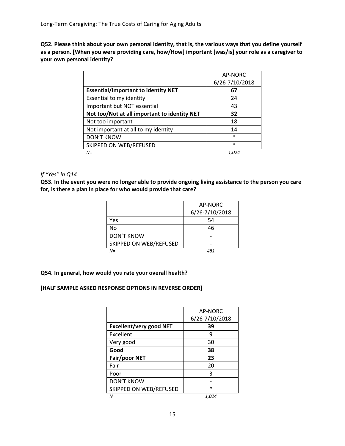**Q52. Please think about your own personal identity, that is, the various ways that you define yourself as a person. [When you were providing care, how/How] important [was/is] your role as a caregiver to your own personal identity?**

|                                              | AP-NORC        |
|----------------------------------------------|----------------|
|                                              | 6/26-7/10/2018 |
| <b>Essential/Important to identity NET</b>   | 67             |
| Essential to my identity                     | 24             |
| Important but NOT essential                  | 43             |
| Not too/Not at all important to identity NET | 32             |
| Not too important                            | 18             |
| Not important at all to my identity          | 14             |
| <b>DON'T KNOW</b>                            | $\ast$         |
| SKIPPED ON WEB/REFUSED                       | $\ast$         |
| $N =$                                        | 1.024          |

## *If "Yes" in Q14*

**Q53. In the event you were no longer able to provide ongoing living assistance to the person you care for, is there a plan in place for who would provide that care?**

|                        | AP-NORC        |
|------------------------|----------------|
|                        | 6/26-7/10/2018 |
| Yes                    | 54             |
| No.                    | 46             |
| <b>DON'T KNOW</b>      |                |
| SKIPPED ON WEB/REFUSED |                |
| $N =$                  | 481            |

## **Q54. In general, how would you rate your overall health?**

## **[HALF SAMPLE ASKED RESPONSE OPTIONS IN REVERSE ORDER]**

|                                | AP-NORC        |
|--------------------------------|----------------|
|                                | 6/26-7/10/2018 |
| <b>Excellent/very good NET</b> | 39             |
| Excellent                      | q              |
| Very good                      | 30             |
| Good                           | 38             |
| Fair/poor NET                  | 23             |
| Fair                           | 20             |
| Poor                           | 3              |
| <b>DON'T KNOW</b>              |                |
| SKIPPED ON WEB/REFUSED         | $\ast$         |
| $N =$                          | 1,024          |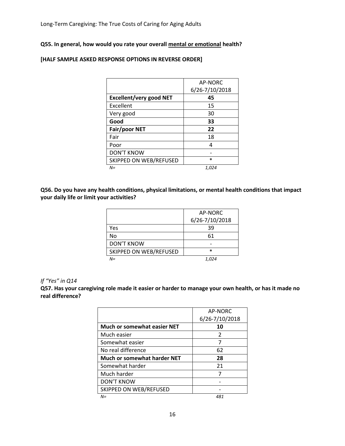## **Q55. In general, how would you rate your overall mental or emotional health?**

|                                | AP-NORC        |
|--------------------------------|----------------|
|                                | 6/26-7/10/2018 |
| <b>Excellent/very good NET</b> | 45             |
| Excellent                      | 15             |
| Very good                      | 30             |
| Good                           | 33             |
| Fair/poor NET                  | 22             |
| Fair                           | 18             |
| Poor                           | Δ              |
| <b>DON'T KNOW</b>              |                |
| SKIPPED ON WEB/REFUSED         | $\ast$         |
| N=                             | 1,024          |

## **[HALF SAMPLE ASKED RESPONSE OPTIONS IN REVERSE ORDER]**

**Q56. Do you have any health conditions, physical limitations, or mental health conditions that impact your daily life or limit your activities?**

|                        | AP-NORC        |
|------------------------|----------------|
|                        | 6/26-7/10/2018 |
| Yes                    | 39             |
| No                     | 61             |
| <b>DON'T KNOW</b>      |                |
| SKIPPED ON WEB/REFUSED | $\ast$         |
| $N =$                  | 1,024          |

#### *If "Yes" in Q14*

**Q57. Has your caregiving role made it easier or harder to manage your own health, or has it made no real difference?**

|                                    | AP-NORC<br>6/26-7/10/2018 |
|------------------------------------|---------------------------|
| <b>Much or somewhat easier NET</b> | 10                        |
| Much easier                        | $\mathcal{P}$             |
| Somewhat easier                    | 7                         |
| No real difference                 | 62                        |
| Much or somewhat harder NET        | 28                        |
| Somewhat harder                    | 21                        |
| Much harder                        | 7                         |
| <b>DON'T KNOW</b>                  |                           |
| SKIPPED ON WEB/REFUSED             |                           |
| $N =$                              | 481                       |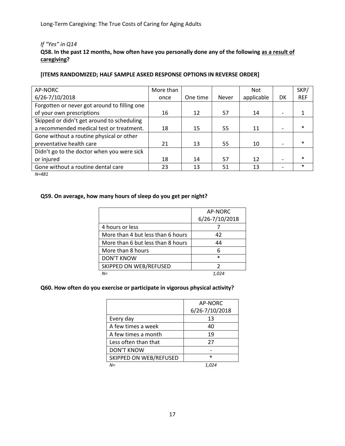## *If "Yes" in Q14*

## **Q58. In the past 12 months, how often have you personally done any of the following as a result of caregiving?**

## **[ITEMS RANDOMIZED; HALF SAMPLE ASKED RESPONSE OPTIONS IN REVERSE ORDER]**

| AP-NORC                                      | More than |          |              | <b>Not</b> |    | SKP/       |
|----------------------------------------------|-----------|----------|--------------|------------|----|------------|
| 6/26-7/10/2018                               | once      | One time | <b>Never</b> | applicable | DK | <b>REF</b> |
| Forgotten or never got around to filling one |           |          |              |            |    |            |
| of your own prescriptions                    | 16        | 12       | 57           | 14         |    |            |
| Skipped or didn't get around to scheduling   |           |          |              |            |    |            |
| a recommended medical test or treatment.     | 18        | 15       | 55           | 11         |    | $\ast$     |
| Gone without a routine physical or other     |           |          |              |            |    |            |
| preventative health care                     | 21        | 13       | 55           | 10         |    | $\ast$     |
| Didn't go to the doctor when you were sick   |           |          |              |            |    |            |
| or injured                                   | 18        | 14       | 57           | 12         |    | $\ast$     |
| Gone without a routine dental care           | 23        | 13       | 51           | 13         |    | $\ast$     |

*N=481*

## **Q59. On average, how many hours of sleep do you get per night?**

|                                   | AP-NORC<br>6/26-7/10/2018 |
|-----------------------------------|---------------------------|
| 4 hours or less                   |                           |
| More than 4 but less than 6 hours | 42                        |
| More than 6 but less than 8 hours | 44                        |
| More than 8 hours                 | 6                         |
| <b>DON'T KNOW</b>                 | $\ast$                    |
| SKIPPED ON WEB/REFUSED            | 7                         |
| $N =$                             |                           |

## **Q60. How often do you exercise or participate in vigorous physical activity?**

|                        | AP-NORC<br>6/26-7/10/2018 |
|------------------------|---------------------------|
| Every day              | 13                        |
| A few times a week     | 40                        |
| A few times a month    | 19                        |
| Less often than that   | 27                        |
| <b>DON'T KNOW</b>      |                           |
| SKIPPED ON WEB/REFUSED | $\ast$                    |
| $N =$                  | 1.024                     |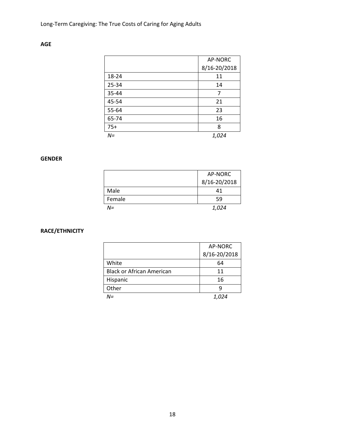|       | AP-NORC      |
|-------|--------------|
|       | 8/16-20/2018 |
| 18-24 | 11           |
| 25-34 | 14           |
| 35-44 | 7            |
| 45-54 | 21           |
| 55-64 | 23           |
| 65-74 | 16           |
| $75+$ | 8            |
| $N =$ | 1,024        |

# **AGE**

# **GENDER**

|        | AP-NORC      |
|--------|--------------|
|        | 8/16-20/2018 |
| Male   | 41           |
| Female | 59           |
| N=     | 1,024        |

# **RACE/ETHNICITY**

|                                  | AP-NORC      |
|----------------------------------|--------------|
|                                  | 8/16-20/2018 |
| White                            | 64           |
| <b>Black or African American</b> | 11           |
| Hispanic                         | 16           |
| Other                            | q            |
| N=                               |              |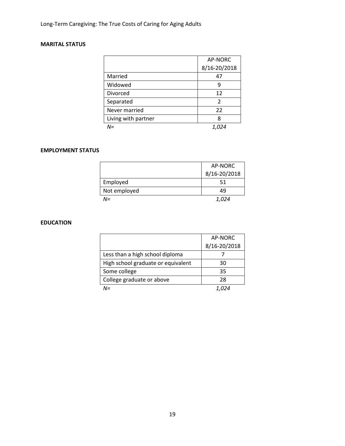# **MARITAL STATUS**

|                     | AP-NORC        |
|---------------------|----------------|
|                     | 8/16-20/2018   |
| Married             | 47             |
| Widowed             | 9              |
| Divorced            | 12             |
| Separated           | $\mathfrak{p}$ |
| Never married       | 22             |
| Living with partner | 8              |
| N=                  | 1.024          |

## **EMPLOYMENT STATUS**

|              | AP-NORC      |
|--------------|--------------|
|              | 8/16-20/2018 |
| Employed     | 51           |
| Not employed | 49           |
| N=           | 1.024        |

## **EDUCATION**

|                                    | AP-NORC      |
|------------------------------------|--------------|
|                                    | 8/16-20/2018 |
| Less than a high school diploma    |              |
| High school graduate or equivalent | 30           |
| Some college                       | 35           |
| College graduate or above          | 28           |
| M=                                 |              |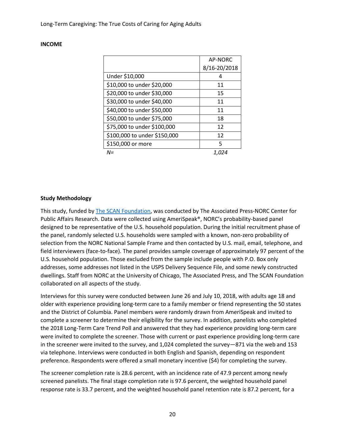## **INCOME**

|                              | AP-NORC      |
|------------------------------|--------------|
|                              | 8/16-20/2018 |
| Under \$10,000               | 4            |
| \$10,000 to under \$20,000   | 11           |
| \$20,000 to under \$30,000   | 15           |
| \$30,000 to under \$40,000   | 11           |
| \$40,000 to under \$50,000   | 11           |
| \$50,000 to under \$75,000   | 18           |
| \$75,000 to under \$100,000  | 12           |
| \$100,000 to under \$150,000 | 12           |
| \$150,000 or more            | 5            |
| N=                           | 1.024        |

## **Study Methodology**

This study, funded by [The SCAN Foundation,](http://www.thescanfoundation.org/) was conducted by The Associated Press-NORC Center for Public Affairs Research. Data were collected using AmeriSpeak®, NORC's probability-based panel designed to be representative of the U.S. household population. During the initial recruitment phase of the panel, randomly selected U.S. households were sampled with a known, non-zero probability of selection from the NORC National Sample Frame and then contacted by U.S. mail, email, telephone, and field interviewers (face-to-face). The panel provides sample coverage of approximately 97 percent of the U.S. household population. Those excluded from the sample include people with P.O. Box only addresses, some addresses not listed in the USPS Delivery Sequence File, and some newly constructed dwellings. Staff from NORC at the University of Chicago, The Associated Press, and The SCAN Foundation collaborated on all aspects of the study.

Interviews for this survey were conducted between June 26 and July 10, 2018, with adults age 18 and older with experience providing long-term care to a family member or friend representing the 50 states and the District of Columbia. Panel members were randomly drawn from AmeriSpeak and invited to complete a screener to determine their eligibility for the survey. In addition, panelists who completed the 2018 Long-Term Care Trend Poll and answered that they had experience providing long-term care were invited to complete the screener. Those with current or past experience providing long-term care in the screener were invited to the survey, and 1,024 completed the survey—871 via the web and 153 via telephone. Interviews were conducted in both English and Spanish, depending on respondent preference. Respondents were offered a small monetary incentive (\$4) for completing the survey.

The screener completion rate is 28.6 percent, with an incidence rate of 47.9 percent among newly screened panelists. The final stage completion rate is 97.6 percent, the weighted household panel response rate is 33.7 percent, and the weighted household panel retention rate is 87.2 percent, for a